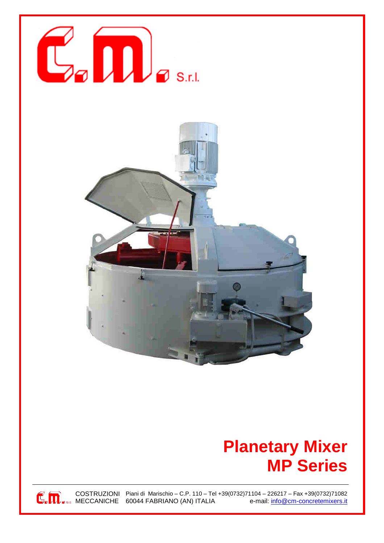



## **Planetary Mixer MP Series**

COSTRUZIONI Piani di Marischio – C.P. 110 – Tel +39(0732)71104 – 226217 – Fax +39(0732)71082<br>MECCANICHE 60044 FABRIANO (AN) ITALIA e-mail: info@cm-concretemixers.it  $\mathbb{C}_{\bullet}\overline{\mathbb{D}}_{\bullet\,*\ast}$  COSTRUZIONI Piani di Marischio – C.P. 110 – I elemente do 60044 FABRIANO (AN) ITALIA